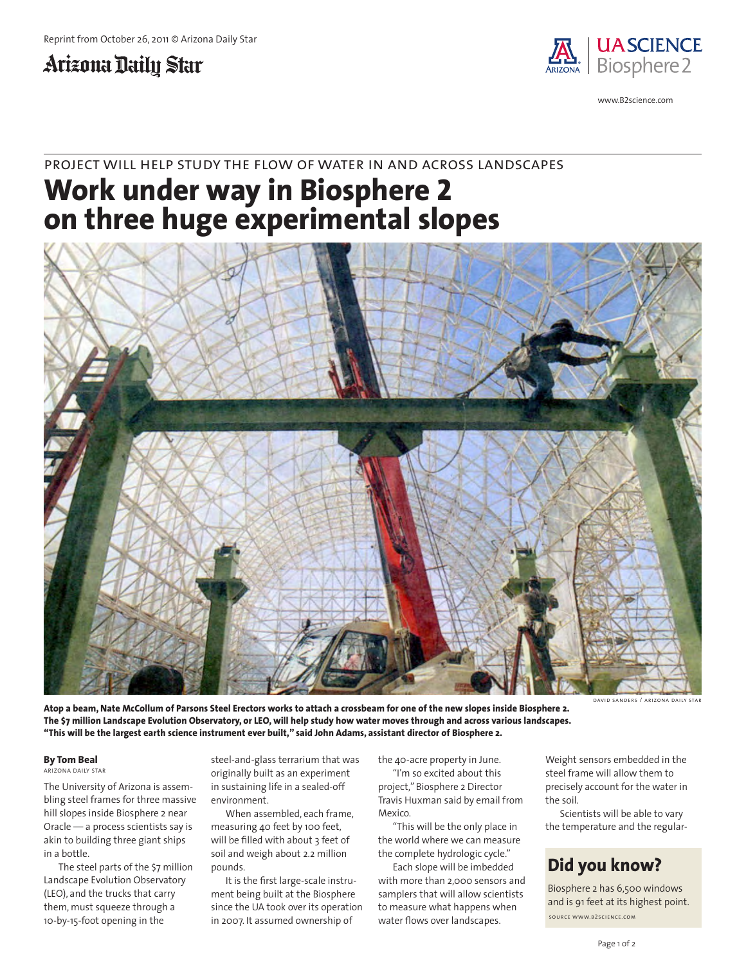## Arizona Daily Star



www.B2science.com

### project will help study the f low of water in and across landscapes

# **Work under way in Biosphere 2 on three huge experimental slopes**



**Atop a beam, Nate McCollum of Parsons Steel Erectors works to attach a crossbeam for one of the new slopes inside Biosphere 2. The \$7 million Landscape Evolution Observatory, or LEO, will help study how water moves through and across various landscapes. "This will be the largest earth science instrument ever built," said John Adams, assistant director of Biosphere 2.**

david sanders / arizona daily star

#### **By Tom Beal**

ARIZONA DAILY STAR

The University of Arizona is assembling steel frames for three massive hill slopes inside Biosphere 2 near Oracle — a process scientists say is akin to building three giant ships in a bottle.

The steel parts of the \$7 million Landscape Evolution Observatory (LEO), and the trucks that carry them, must squeeze through a 10-by-15-foot opening in the

steel-and-glass terrarium that was originally built as an experiment in sustaining life in a sealed-off environment.

When assembled, each frame, measuring 40 feet by 100 feet, will be filled with about 3 feet of soil and weigh about 2.2 million pounds.

It is the first large-scale instrument being built at the Biosphere since the UA took over its operation in 2007. It assumed ownership of

the 40-acre property in June. "I'm so excited about this project," Biosphere 2 Director Travis Huxman said by email from Mexico.

"This will be the only place in the world where we can measure the complete hydrologic cycle."

Each slope will be imbedded with more than 2,000 sensors and samplers that will allow scientists to measure what happens when water flows over landscapes.

Weight sensors embedded in the steel frame will allow them to precisely account for the water in the soil.

Scientists will be able to vary the temperature and the regular-

#### **Did you know?**

Biosphere 2 has 6,500 windows and is 91 feet at its highest point. source www.b2science.com